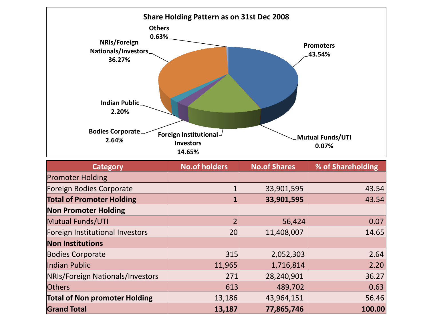

| <b>Category</b>                      | <b>No.of holders</b> | <b>No.of Shares</b> | % of Shareholding |
|--------------------------------------|----------------------|---------------------|-------------------|
| <b>Promoter Holding</b>              |                      |                     |                   |
| Foreign Bodies Corporate             |                      | 33,901,595          | 43.54             |
| <b>Total of Promoter Holding</b>     |                      | 33,901,595          | 43.54             |
| <b>Non Promoter Holding</b>          |                      |                     |                   |
| <b>Mutual Funds/UTI</b>              |                      | 56,424              | 0.07              |
| Foreign Institutional Investors      | 20                   | 11,408,007          | 14.65             |
| <b>Non Institutions</b>              |                      |                     |                   |
| <b>Bodies Corporate</b>              | 315                  | 2,052,303           | 2.64              |
| Indian Public                        | 11,965               | 1,716,814           | 2.20              |
| NRIs/Foreign Nationals/Investors     | 271                  | 28,240,901          | 36.27             |
| <b>Others</b>                        | 613                  | 489,702             | 0.63              |
| <b>Total of Non promoter Holding</b> | 13,186               | 43,964,151          | 56.46             |
| <b>Grand Total</b>                   | 13,187               | 77,865,746          | 100.00            |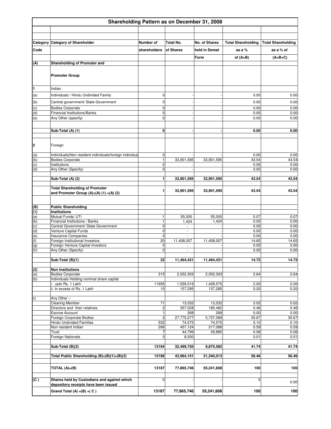|            | Shareholding Pattern as on December 31, 2008                                            |                            |                      |                      |                           |                           |  |
|------------|-----------------------------------------------------------------------------------------|----------------------------|----------------------|----------------------|---------------------------|---------------------------|--|
|            |                                                                                         |                            |                      |                      |                           |                           |  |
|            | Category Category of Shareholder                                                        | Number of                  | Total No.            | <b>No. of Shares</b> | <b>Total Shareholding</b> | <b>Total Shareholding</b> |  |
| Code       |                                                                                         | shareholders               | of Shares            | held in Demat        | as a %                    | as a % of                 |  |
|            |                                                                                         |                            |                      | Form                 | of $(A+B)$                | $(A+B+C)$                 |  |
| (A)        | Shareholding of Promoter and                                                            |                            |                      |                      |                           |                           |  |
|            | <b>Promoter Group</b>                                                                   |                            |                      |                      |                           |                           |  |
| 1          | Indian                                                                                  |                            |                      |                      |                           |                           |  |
| (a)        | Individuals / Hindu Undivided Family                                                    | 0                          |                      |                      | 0.00                      | 0.00                      |  |
| (b)        | Central government/ State Government                                                    | 0                          |                      |                      | 0.00                      | 0.00                      |  |
| (c)        | <b>Bodies Corporate</b>                                                                 | 0                          |                      |                      | 0.00                      | 0.00                      |  |
| (d)<br>(e) | <b>Financial Institutions/Banks</b><br>Any Other (specify)                              | 0<br>$\mathbf 0$           |                      |                      | 0.00<br>0.00              | 0.00<br>0.00              |  |
|            |                                                                                         |                            |                      |                      |                           |                           |  |
|            | Sub-Total (A) (1)                                                                       | 0                          |                      |                      | 0.00                      | 0.00                      |  |
| 2          | Foreign                                                                                 |                            |                      |                      |                           |                           |  |
| (a)        | Individuals (Non resident individuals/foreign individual                                | 0                          |                      |                      | 0.00                      | 0.00                      |  |
| (b)<br>(c) | <b>Bodies Corporate</b><br>Institutions                                                 | $\mathbf{1}$<br>0          | 33,901,595           | 33,901,595           | 43.54<br>0.00             | 43.54<br>0.00             |  |
| (d)        | Any Other (Specify)                                                                     | $\mathbf 0$                |                      |                      | 0.00                      | 0.00                      |  |
|            | Sub-Total (A) (2)                                                                       | 1                          | 33,901,595           | 33,901,595           | 43.54                     | 43.54                     |  |
|            |                                                                                         |                            |                      |                      |                           |                           |  |
|            | <b>Total Shareholding of Promoter</b><br>and Promoter Group $(A)=(A)$ $(1) + (A)$ $(2)$ | 1                          | 33,901,595           | 33,901,595           | 43.54                     | 43.54                     |  |
| (B)        | <b>Public Shareholding</b>                                                              |                            |                      |                      |                           |                           |  |
| (1)<br>(a) | Institutions<br>Mutual Funds/ UTI                                                       | 1                          |                      | 55,000               | 0.07                      | 0.07                      |  |
| (b)        | Financial Institutions / Banks                                                          | $\mathbf{1}$               | 55,000<br>1,424      | 1,424                | 0.00                      | 0.00                      |  |
| (c)        | Central Government/ State Government                                                    | 0                          |                      |                      | 0.00                      | 0.00                      |  |
| (d)<br>(e) | Venture Capital Funds<br><b>Insurance Companies</b>                                     | $\mathbf 0$<br>$\mathbf 0$ | $\bar{a}$            |                      | 0.00<br>0.00              | 0.00<br>0.00              |  |
| (f)        | Foreign Institutional Investors                                                         | 20                         | 11,408,007           | 11,408,007           | 14.65                     | 14.65                     |  |
| (g)        | Foreign Venture Capital Investors                                                       | $\mathbf 0$                |                      |                      | 0.00                      | 0.00                      |  |
| (h)        | Any Other (Specify)                                                                     | $\mathbf 0$                | ÷,                   |                      | 0.00                      | 0.00                      |  |
|            | Sub-Total (B)(1)                                                                        | 22                         | 11,464,431           | 11,464,431           | 14.72                     | 14.72                     |  |
| (2)        | <b>Non Institutions</b>                                                                 |                            |                      |                      |                           |                           |  |
| (a)        | <b>Bodies Corporate</b>                                                                 | 315                        | 2,052,303            | 2,052,303            | 2.64                      | 2.64                      |  |
| (b)        | Individuals Holding nominal share capital<br>i. upto Rs. 1 Lakh                         | 11955                      | 1,559,519            | 1,428,575            | 2.00                      | 2.00                      |  |
|            | ii. In excess of Rs. 1 Lakh                                                             | 10                         | 157,295              | 137,285              | 0.20                      | 0.20                      |  |
| c)         | Any Other :-                                                                            |                            |                      |                      |                           |                           |  |
|            | <b>Clearing Member</b>                                                                  | 71                         | 13,032               | 13,032               | 0.02                      | 0.02                      |  |
|            | Directors and their relatives                                                           | $\overline{\mathbf{c}}$    | 357,028              | 185,482              | 0.46                      | 0.46                      |  |
|            | <b>Escrow Account</b><br>Foreign Corporate Bodies                                       | 1                          | 268                  | 268<br>5,737,089     | 0.00                      | 0.00                      |  |
|            | Hindu Undivided Families                                                                | $\overline{c}$<br>532      | 27,775,277<br>74,575 | 74,575               | 35.67<br>0.10             | 35.67<br>0.10             |  |
|            | Non resident Indian                                                                     | 266                        | 457,124              | 217,088              | 0.59                      | 0.59                      |  |
|            | Trust                                                                                   | 7                          | 44,799               | 29,885               | 0.06                      | 0.06                      |  |
|            | Foreign Nationals                                                                       | 3                          | 8,500                |                      | 0.01                      | 0.01                      |  |
|            | Sub-Total (B)(2)                                                                        | 13164                      | 32,499,720           | 9,875,582            | 41.74                     | 41.74                     |  |
|            | Total Public Shareholding (B)=(B)(1)+(B)(2)                                             | 13186                      | 43,964,151           | 21,340,013           | 56.46                     | 56.46                     |  |
|            | TOTAL $(A)+(B)$                                                                         | 13187                      | 77,865,746           | 55,241,608           | 100                       | 100                       |  |
| (C)        | Shares held by Custodians and against which                                             | 0                          |                      |                      | $\mathbf 0$               |                           |  |
|            | depository receipts have been issued                                                    |                            |                      |                      |                           | 0.00                      |  |
|            | Grand Total (A) $+(B) + (C)$                                                            | 13187                      | 77,865,746           | 55,241,608           | 100                       | 100                       |  |